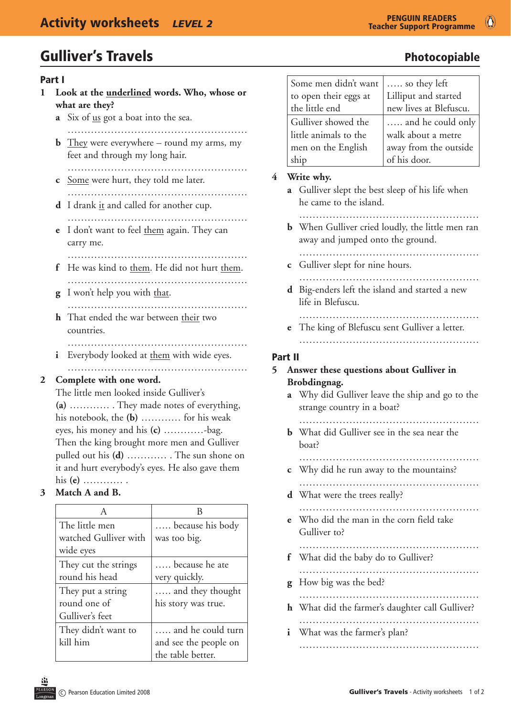#### Part I

- **1 Look at the underlined words. Who, whose or what are they?**
	- **a** Six of us got a boat into the sea.
	- ……………………………………………… **b** They were everywhere – round my arms, my feet and through my long hair.
		- ………………………………………………
	- **c** Some were hurt, they told me later.
	- ……………………………………………… **d** I drank it and called for another cup. ……………………………………………………
	- **e** I don't want to feel them again. They can carry me.
	- ………………………………………………………
	- **f** He was kind to them. He did not hurt them. ………………………………………………
	- **g** I won't help you with that.
	- ……………………………………………… **h** That ended the war between their two countries.
	- …………………………………………………… **i** Everybody looked at them with wide eyes. ………………………………………………

#### **2 Complete with one word.**

 The little men looked inside Gulliver's **(a)** ………… . They made notes of everything, his notebook, the **(b)** ………… for his weak eyes, his money and his **(c)** …………-bag. Then the king brought more men and Gulliver pulled out his **(d)** ………… . The sun shone on it and hurt everybody's eyes. He also gave them his **(e)** ………… .

#### **3 Match A and B.**

| A                     | В                     |
|-----------------------|-----------------------|
| The little men        | because his body      |
| watched Gulliver with | was too big.          |
| wide eyes             |                       |
| They cut the strings  | because he ate        |
| round his head        | very quickly.         |
| They put a string     | and they thought      |
| round one of          | his story was true.   |
| Gulliver's feet       |                       |
| They didn't want to   | and he could turn     |
| kill him              | and see the people on |
|                       | the table better.     |

| Some men didn't want  | so they left           |
|-----------------------|------------------------|
| to open their eggs at | Lilliput and started   |
| the little end        | new lives at Blefuscu. |
| Gulliver showed the   | and he could only      |
| little animals to the | walk about a metre     |
| men on the English    | away from the outside  |
| ship                  | of his door.           |

#### **4 Write why.**

- **a** Gulliver slept the best sleep of his life when he came to the island.
	- ………………………………………………
- **b** When Gulliver cried loudly, the little men ran away and jumped onto the ground.
- ……………………………………………… **c** Gulliver slept for nine hours.
- ………………………………………………
- **d** Big-enders left the island and started a new life in Blefuscu.

#### ………………………………………………

**e** The king of Blefuscu sent Gulliver a letter. ………………………………………………

#### Part II

#### **5 Answer these questions about Gulliver in Brobdingnag.**

**a** Why did Gulliver leave the ship and go to the strange country in a boat?

 ………………………………………………

- **b** What did Gulliver see in the sea near the boat?
	- ………………………………………………
- **c** Why did he run away to the mountains? ………………………………………………
- **d** What were the trees really?
- ……………………………………………… **e** Who did the man in the corn field take Gulliver to?
	- ………………………………………………
- **f** What did the baby do to Gulliver?
	- ………………………………………………
- **g** How big was the bed?
- ……………………………………………………… **h** What did the farmer's daughter call Gulliver?
- ……………………………………………… **i** What was the farmer's plan? ………………………………………………………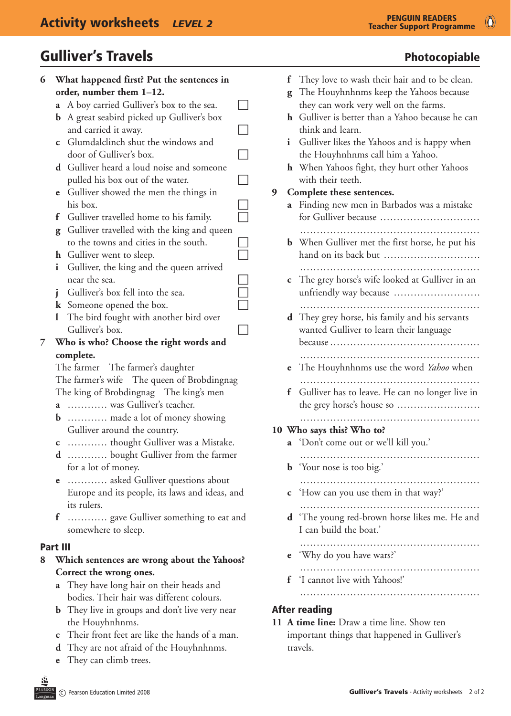# Gulliver's Travels **Exercise Exercise Exercise Security** Photocopiable

| 6               |                     | What happened first? Put the sentences in             |  |
|-----------------|---------------------|-------------------------------------------------------|--|
|                 |                     | order, number them 1-12.                              |  |
|                 |                     | <b>a</b> A boy carried Gulliver's box to the sea.     |  |
|                 |                     | <b>b</b> A great seabird picked up Gulliver's box     |  |
|                 |                     | and carried it away.                                  |  |
|                 | $\mathbf c$         | Glumdalclinch shut the windows and                    |  |
|                 |                     | door of Gulliver's box.                               |  |
|                 |                     | <b>d</b> Gulliver heard a loud noise and someone      |  |
|                 |                     | pulled his box out of the water.                      |  |
|                 | e                   | Gulliver showed the men the things in                 |  |
|                 |                     | his box.                                              |  |
|                 | f                   | Gulliver travelled home to his family.                |  |
|                 |                     | <b>g</b> Gulliver travelled with the king and queen   |  |
|                 |                     | to the towns and cities in the south.                 |  |
|                 |                     | <b>h</b> Gulliver went to sleep.                      |  |
|                 | i                   | Gulliver, the king and the queen arrived              |  |
|                 |                     | near the sea.                                         |  |
|                 | i                   | Gulliver's box fell into the sea.                     |  |
|                 |                     | <b>k</b> Someone opened the box.                      |  |
|                 | l                   | The bird fought with another bird over                |  |
|                 |                     | Gulliver's box.                                       |  |
| 7               |                     | Who is who? Choose the right words and                |  |
|                 |                     | complete.                                             |  |
|                 |                     | The farmer The farmer's daughter                      |  |
|                 |                     | The farmer's wife The queen of Brobdingnag            |  |
|                 |                     | The king of Brobdingnag The king's men                |  |
|                 |                     | a  was Gulliver's teacher.                            |  |
|                 | b                   | made a lot of money showing                           |  |
|                 |                     | Gulliver around the country.                          |  |
|                 | с                   | thought Gulliver was a Mistake.                       |  |
|                 |                     | <b>d</b> bought Gulliver from the farmer              |  |
|                 | for a lot of money. |                                                       |  |
|                 | e                   | asked Gulliver questions about                        |  |
|                 |                     | Europe and its people, its laws and ideas, and        |  |
|                 |                     | its rulers.                                           |  |
|                 | f                   | gave Gulliver something to eat and                    |  |
|                 |                     | somewhere to sleep.                                   |  |
| <b>Part III</b> |                     |                                                       |  |
| 8               |                     | Which sentences are wrong about the Yahoos?           |  |
|                 |                     | Correct the wrong ones.                               |  |
|                 | a                   | They have long hair on their heads and                |  |
|                 |                     | bodies. Their hair was different colours.             |  |
|                 |                     | <b>b</b> They live in groups and don't live very near |  |
|                 |                     | the Houyhnhnms.                                       |  |
|                 | С                   | Their front feet are like the hands of a man.         |  |
|                 |                     | <b>d</b> They are not afraid of the Houyhnhnms.       |  |

**e** They can climb trees.

# Teacher Support Programme

 $\bigcirc$ 

|   | f                                                                                                   | They love to wash their hair and to be clean.                                          |  |  |  |
|---|-----------------------------------------------------------------------------------------------------|----------------------------------------------------------------------------------------|--|--|--|
|   | g                                                                                                   | The Houyhnhnms keep the Yahoos because                                                 |  |  |  |
|   |                                                                                                     | they can work very well on the farms.                                                  |  |  |  |
|   | h                                                                                                   | Gulliver is better than a Yahoo because he can<br>think and learn.                     |  |  |  |
|   | i                                                                                                   | Gulliver likes the Yahoos and is happy when                                            |  |  |  |
|   |                                                                                                     | the Houyhnhnms call him a Yahoo.<br><b>h</b> When Yahoos fight, they hurt other Yahoos |  |  |  |
|   |                                                                                                     | with their teeth.                                                                      |  |  |  |
| 9 | Complete these sentences.<br>Finding new men in Barbados was a mistake<br>a<br>for Gulliver because |                                                                                        |  |  |  |
|   |                                                                                                     |                                                                                        |  |  |  |
|   |                                                                                                     |                                                                                        |  |  |  |
|   |                                                                                                     | <b>b</b> When Gulliver met the first horse, he put his                                 |  |  |  |
|   |                                                                                                     | hand on its back but                                                                   |  |  |  |
|   |                                                                                                     |                                                                                        |  |  |  |
|   | С                                                                                                   | The grey horse's wife looked at Gulliver in an                                         |  |  |  |
|   |                                                                                                     | unfriendly way because                                                                 |  |  |  |
|   |                                                                                                     |                                                                                        |  |  |  |
|   |                                                                                                     | <b>d</b> They grey horse, his family and his servants                                  |  |  |  |
|   |                                                                                                     | wanted Gulliver to learn their language                                                |  |  |  |
|   |                                                                                                     |                                                                                        |  |  |  |
|   | e                                                                                                   | The Houyhnhnms use the word Yahoo when                                                 |  |  |  |
|   | f                                                                                                   | Gulliver has to leave. He can no longer live in                                        |  |  |  |
|   |                                                                                                     | the grey horse's house so                                                              |  |  |  |
|   |                                                                                                     |                                                                                        |  |  |  |
|   | 10 Who says this? Who to?                                                                           |                                                                                        |  |  |  |
|   | a                                                                                                   | 'Don't come out or we'll kill you.'                                                    |  |  |  |
|   |                                                                                                     |                                                                                        |  |  |  |
|   | b                                                                                                   | 'Your nose is too big.'                                                                |  |  |  |
|   | C                                                                                                   | 'How can you use them in that way?'                                                    |  |  |  |
|   |                                                                                                     |                                                                                        |  |  |  |
|   | d 'The young red-brown horse likes me. He and                                                       |                                                                                        |  |  |  |
|   |                                                                                                     | I can build the boat.'                                                                 |  |  |  |
|   |                                                                                                     |                                                                                        |  |  |  |
|   | e                                                                                                   | 'Why do you have wars?'                                                                |  |  |  |
|   | f                                                                                                   | 'I cannot live with Yahoos!'                                                           |  |  |  |
|   |                                                                                                     |                                                                                        |  |  |  |
|   |                                                                                                     |                                                                                        |  |  |  |
|   | <b>After reading</b>                                                                                |                                                                                        |  |  |  |
|   |                                                                                                     | 11 A time line: Draw a time line. Show ten                                             |  |  |  |

## important things that happened in Gulliver's travels.

EARS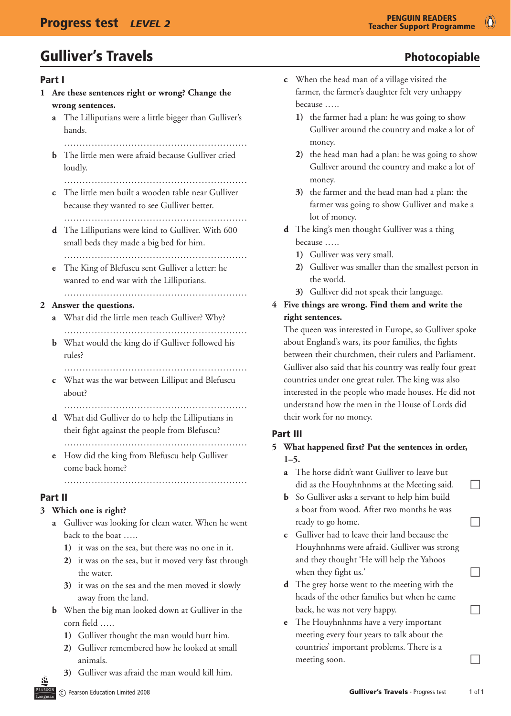# Gulliver's Travels **Exercise Exercise Exercise Security** Photocopiable

#### Part I

- **1 Are these sentences right or wrong? Change the wrong sentences.**
	- **a** The Lilliputians were a little bigger than Gulliver's hands.
		- ……………………………………………………
	- **b** The little men were afraid because Gulliver cried loudly.
		- ……………………………………………………
	- **c** The little men built a wooden table near Gulliver because they wanted to see Gulliver better.
		- …………………………………………………………
	- **d** The Lilliputians were kind to Gulliver. With 600 small beds they made a big bed for him.
		- ……………………………………………………
	- **e** The King of Blefuscu sent Gulliver a letter: he wanted to end war with the Lilliputians. ……………………………………………………

#### **2 Answer the questions.**

- **a** What did the little men teach Gulliver? Why? ……………………………………………………
- **b** What would the king do if Gulliver followed his rules?
- …………………………………………………… **c** What was the war between Lilliput and Blefuscu
- about?

 ……………………………………………………

- **d** What did Gulliver do to help the Lilliputians in their fight against the people from Blefuscu? ……………………………………………………
- **e** How did the king from Blefuscu help Gulliver come back home?

### Part II

### **3 Which one is right?**

**a** Gulliver was looking for clean water. When he went back to the boat …..

 ……………………………………………………

- **1)** it was on the sea, but there was no one in it.
- **2)** it was on the sea, but it moved very fast through the water.
- **3**) it was on the sea and the men moved it slowly away from the land.
- **b** When the big man looked down at Gulliver in the corn field …..
	- **1)** Gulliver thought the man would hurt him.
	- **2)** Gulliver remembered how he looked at small animals.
	- **3)** Gulliver was afraid the man would kill him.
- 
- **c** When the head man of a village visited the farmer, the farmer's daughter felt very unhappy because …..
	- **1)** the farmer had a plan: he was going to show Gulliver around the country and make a lot of money.
	- **2)** the head man had a plan: he was going to show Gulliver around the country and make a lot of money.
	- **3)** the farmer and the head man had a plan: the farmer was going to show Gulliver and make a lot of money.
- **d** The king's men thought Gulliver was a thing because …..
	- **1)** Gulliver was very small.
	- **2)** Gulliver was smaller than the smallest person in the world.
	- **3)** Gulliver did not speak their language.

#### **4 Five things are wrong. Find them and write the right sentences.**

 The queen was interested in Europe, so Gulliver spoke about England's wars, its poor families, the fights between their churchmen, their rulers and Parliament. Gulliver also said that his country was really four great countries under one great ruler. The king was also interested in the people who made houses. He did not understand how the men in the House of Lords did their work for no money.

#### Part III

#### **5 What happened first? Put the sentences in order, 1–5.**

- **a** The horse didn't want Gulliver to leave but did as the Houyhnhnms at the Meeting said.  $\Box$
- **b** So Gulliver asks a servant to help him build a boat from wood. After two months he was ready to go home.  $\Box$
- **c** Gulliver had to leave their land because the Houyhnhnms were afraid. Gulliver was strong and they thought 'He will help the Yahoos when they fight us.'
- **d** The grey horse went to the meeting with the heads of the other families but when he came back, he was not very happy.  $\Box$
- **e** The Houyhnhnms have a very important meeting every four years to talk about the countries' important problems. There is a meeting soon.  $\Box$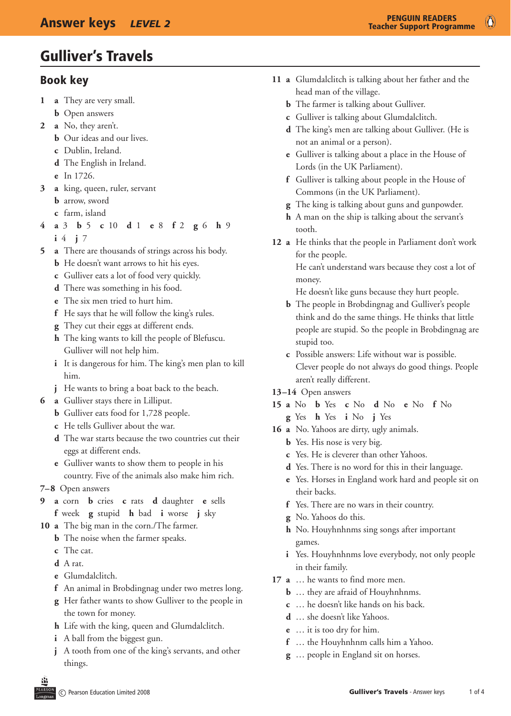# Gulliver's Travels

#### Book key

- **1 a**  They are very small.
	- **b** Open answers
- **2 a**  No, they aren't.
	- **b** Our ideas and our lives.
	- **c**  Dublin, Ireland.
	- **d**  The English in Ireland.
	- **e**  In 1726.
- **3 a**  king, queen, ruler, servant
	- **b** arrow, sword
	- **c**  farm, island
- **4 a** 3 **b** 5 **c** 10 **d** 1 **e** 8 **f** 2 **g** 6 **h** 9 **i** 4 **j** 7
- **5 a** There are thousands of strings across his body.
	- **b** He doesn't want arrows to hit his eyes.
	- **c**  Gulliver eats a lot of food very quickly.
	- **d** There was something in his food.
	- **e** The six men tried to hurt him.
	- **f** He says that he will follow the king's rules.
	- **g** They cut their eggs at different ends.
	- **h** The king wants to kill the people of Blefuscu. Gulliver will not help him.
	- **i** It is dangerous for him. The king's men plan to kill him.
	- **j** He wants to bring a boat back to the beach.
- **6 a** Gulliver stays there in Lilliput.
	- **b** Gulliver eats food for 1,728 people.
	- **c**  He tells Gulliver about the war.
	- **d** The war starts because the two countries cut their eggs at different ends.
	- **e** Gulliver wants to show them to people in his country. Five of the animals also make him rich.
- **7–8** Open answers
- **9 a** corn **b** cries **c** rats **d** daughter **e** sells **f** week **g** stupid **h** bad **i** worse **j** sky
- 10 **a** The big man in the corn./The farmer.
	- **b** The noise when the farmer speaks.
	- **c**  The cat.
	- **d**  A rat.
	- **e**  Glumdalclitch.
	- **f** An animal in Brobdingnag under two metres long.
	- **g**  Her father wants to show Gulliver to the people in the town for money.
	- **h** Life with the king, queen and Glumdalclitch.
	- **i** A ball from the biggest gun.
	- **j** A tooth from one of the king's servants, and other things.
- **11 a** Glumdalclitch is talking about her father and the head man of the village.
	- **b** The farmer is talking about Gulliver.
	- **c**  Gulliver is talking about Glumdalclitch.
	- **d** The king's men are talking about Gulliver. (He is not an animal or a person).
	- **e** Gulliver is talking about a place in the House of Lords (in the UK Parliament).
	- **f** Gulliver is talking about people in the House of Commons (in the UK Parliament).
	- **g** The king is talking about guns and gunpowder.
	- **h** A man on the ship is talking about the servant's tooth.
- 12 **a** He thinks that the people in Parliament don't work for the people.

 He can't understand wars because they cost a lot of money.

He doesn't like guns because they hurt people.

- **b** The people in Brobdingnag and Gulliver's people think and do the same things. He thinks that little people are stupid. So the people in Brobdingnag are stupid too.
- **c**  Possible answers: Life without war is possible. Clever people do not always do good things. People aren't really different.
- **13–14** Open answers
- **15 a** No **b** Yes **c** No **d** No **e** No **f** No
	- **g** Yes **h** Yes **i** No **j** Yes
- 16 **a** No. Yahoos are dirty, ugly animals.
	- **b** Yes. His nose is very big.
	- **c**  Yes. He is cleverer than other Yahoos.
	- **d** Yes. There is no word for this in their language.
	- **e**  Yes. Horses in England work hard and people sit on their backs.
	- **f**  Yes. There are no wars in their country.
	- **g**  No. Yahoos do this.
	- **h** No. Houyhnhnms sing songs after important games.
	- **i** Yes. Houyhnhnms love everybody, not only people in their family.
- **17 a** ... he wants to find more men.
	- **b** ... they are afraid of Houyhnhnms.
	- **c**  … he doesn't like hands on his back.
	- **d**  … she doesn't like Yahoos.
	- **e**  … it is too dry for him.
	- **f**  … the Houyhnhnm calls him a Yahoo.
	- **g**  … people in England sit on horses.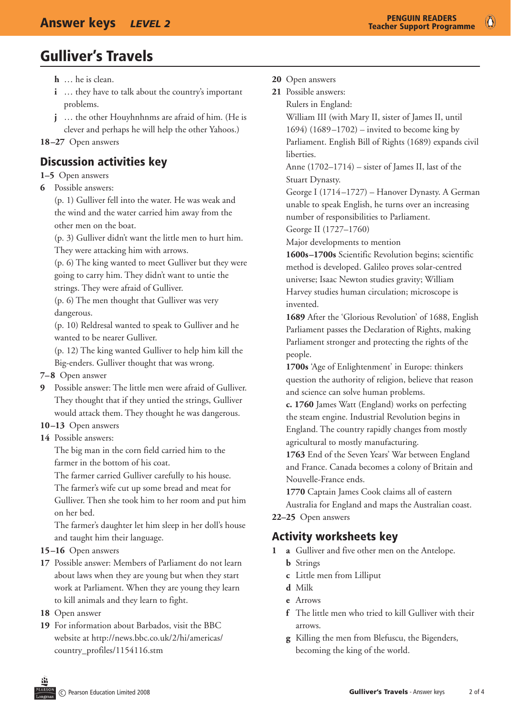$\bullet$ 

# Gulliver's Travels

- **h** ... he is clean.
- **i** ... they have to talk about the country's important problems.
- **j** ... the other Houyhnhnms are afraid of him. (He is clever and perhaps he will help the other Yahoos.)

**18–27** Open answers

#### Discussion activities key

#### **1–5** Open answers

**6** Possible answers:

(p. 1) Gulliver fell into the water. He was weak and the wind and the water carried him away from the other men on the boat.

(p. 3) Gulliver didn't want the little men to hurt him. They were attacking him with arrows.

(p. 6) The king wanted to meet Gulliver but they were going to carry him. They didn't want to untie the strings. They were afraid of Gulliver.

(p. 6) The men thought that Gulliver was very dangerous.

(p. 10) Reldresal wanted to speak to Gulliver and he wanted to be nearer Gulliver.

(p. 12) The king wanted Gulliver to help him kill the Big-enders. Gulliver thought that was wrong.

- **7–8** Open answer
- **9** Possible answer: The little men were afraid of Gulliver. They thought that if they untied the strings, Gulliver would attack them. They thought he was dangerous.
- **10–13** Open answers
- **14** Possible answers:

The big man in the corn field carried him to the farmer in the bottom of his coat.

The farmer carried Gulliver carefully to his house. The farmer's wife cut up some bread and meat for Gulliver. Then she took him to her room and put him on her bed.

The farmer's daughter let him sleep in her doll's house and taught him their language.

- **15–16** Open answers
- **17**  Possible answer: Members of Parliament do not learn about laws when they are young but when they start work at Parliament. When they are young they learn to kill animals and they learn to fight.
- **18**  Open answer
- **19** For information about Barbados, visit the BBC website at http://news.bbc.co.uk/2/hi/americas/ country\_profiles/1154116.stm
- **20**  Open answers
- **21** Possible answers:

Rulers in England:

William III (with Mary II, sister of James II, until 1694) (1689–1702) – invited to become king by Parliament. English Bill of Rights (1689) expands civil liberties.

Anne (1702–1714) – sister of James II, last of the Stuart Dynasty.

George I (1714–1727) – Hanover Dynasty. A German unable to speak English, he turns over an increasing number of responsibilities to Parliament.

George II (1727–1760)

Major developments to mention

1600s–1700s Scientific Revolution begins; scientific method is developed. Galileo proves solar-centred universe; Isaac Newton studies gravity; William Harvey studies human circulation; microscope is invented.

**1689** After the 'Glorious Revolution' of 1688, English Parliament passes the Declaration of Rights, making Parliament stronger and protecting the rights of the people.

**1700s** 'Age of Enlightenment' in Europe: thinkers question the authority of religion, believe that reason and science can solve human problems.

 **c. 1760** James Watt (England) works on perfecting the steam engine. Industrial Revolution begins in England. The country rapidly changes from mostly agricultural to mostly manufacturing.

1763 End of the Seven Years' War between England and France. Canada becomes a colony of Britain and Nouvelle-France ends.

**1770** Captain James Cook claims all of eastern Australia for England and maps the Australian coast. **22–25** Open answers

### Activity worksheets key

- **1 a** Gulliver and five other men on the Antelope.
	- **b** Strings
	- **c** Little men from Lilliput
	- **d** Milk
	- **e** Arrows
	- **f** The little men who tried to kill Gulliver with their arrows.
	- **g** Killing the men from Blefuscu, the Bigenders, becoming the king of the world.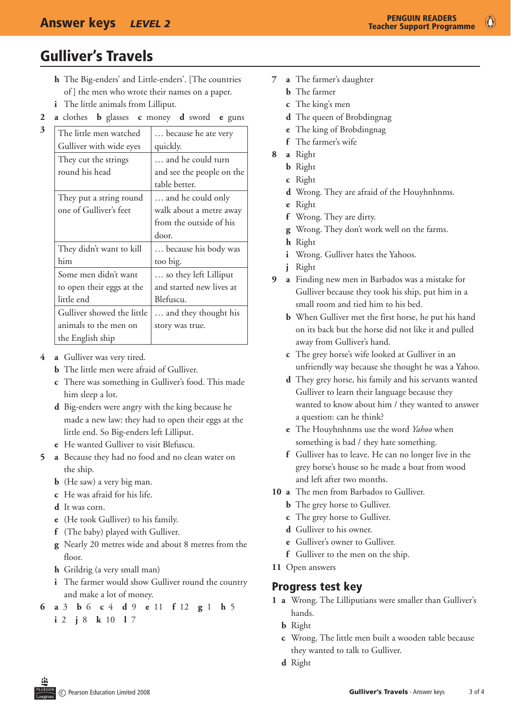$\bullet$ 

# Gulliver's Travels

**3**

- **h** The Big-enders' and Little-enders'. [The countries of ] the men who wrote their names on a paper.
- *i* The little animals from Lilliput.
- **2 a** clothes **b** glasses **c** money **d** sword **e** guns

| The little men watched     | because he ate very       |
|----------------------------|---------------------------|
| Gulliver with wide eyes    | quickly.                  |
| They cut the strings       | and he could turn         |
| round his head             | and see the people on the |
|                            | table better.             |
| They put a string round    | and he could only         |
| one of Gulliver's feet     | walk about a metre away   |
|                            | from the outside of his   |
|                            | door.                     |
| They didn't want to kill   | because his body was      |
| him                        | too big.                  |
| Some men didn't want       | so they left Lilliput     |
| to open their eggs at the  | and started new lives at  |
| little end                 | Blefuscu.                 |
| Gulliver showed the little | and they thought his      |
| animals to the men on      | story was true.           |
| the English ship           |                           |

- **4 a** Gulliver was very tired.
	- **b** The little men were afraid of Gulliver.
	- **c** There was something in Gulliver's food. This made him sleep a lot.
	- **d** Big-enders were angry with the king because he made a new law: they had to open their eggs at the little end. So Big-enders left Lilliput.
	- **e** He wanted Gulliver to visit Blefuscu.
- **5 a** Because they had no food and no clean water on the ship.
	- **b** (He saw) a very big man.
	- **c** He was afraid for his life.
	- **d** It was corn.
	- **e** (He took Gulliver) to his family.
	- **f** (The baby) played with Gulliver.
	- **g** Nearly 20 metres wide and about 8 metres from the floor.
	- **h** Grildrig (a very small man)
	- **i** The farmer would show Gulliver round the country and make a lot of money.
- **6 a** 3 **b** 6 **c** 4 **d** 9 **e** 11 **f** 12 **g** 1 **h** 5 **i** 2 **j** 8 **k** 10 **l** 7
- **7 a** The farmer's daughter
	- **b** The farmer
	- **c** The king's men
	- **d** The queen of Brobdingnag
	- **e** The king of Brobdingnag
	- **f** The farmer's wife
- **8 a** Right
	- **b** Right
	- **c** Right
	- **d** Wrong. They are afraid of the Houyhnhnms.
	- **e** Right
	- **f** Wrong. They are dirty.
	- **g** Wrong. They don't work well on the farms.
	- **h** Right
	- *i* Wrong. Gulliver hates the Yahoos.
	- **j** Right
- **9 a** Finding new men in Barbados was a mistake for Gulliver because they took his ship, put him in a small room and tied him to his bed.
	- **b** When Gulliver met the first horse, he put his hand on its back but the horse did not like it and pulled away from Gulliver's hand.
	- **c** The grey horse's wife looked at Gulliver in an unfriendly way because she thought he was a Yahoo.
	- **d** They grey horse, his family and his servants wanted Gulliver to learn their language because they wanted to know about him / they wanted to answer a question: can he think?
	- **e** The Houyhnhnms use the word *Yahoo* when something is bad / they hate something.
	- **f** Gulliver has to leave. He can no longer live in the grey horse's house so he made a boat from wood and left after two months.
- **10 a** The men from Barbados to Gulliver.
	- **b** The grey horse to Gulliver.
	- **c** The grey horse to Gulliver.
	- **d** Gulliver to his owner.
	- **e** Gulliver's owner to Gulliver.
	- **f** Gulliver to the men on the ship.
- 11 Open answers

#### Progress test key

- **1 a**  Wrong. The Lilliputians were smaller than Gulliver's hands.
	- **b** Right
	- **c** Wrong. The little men built a wooden table because they wanted to talk to Gulliver.
	- **d** Right